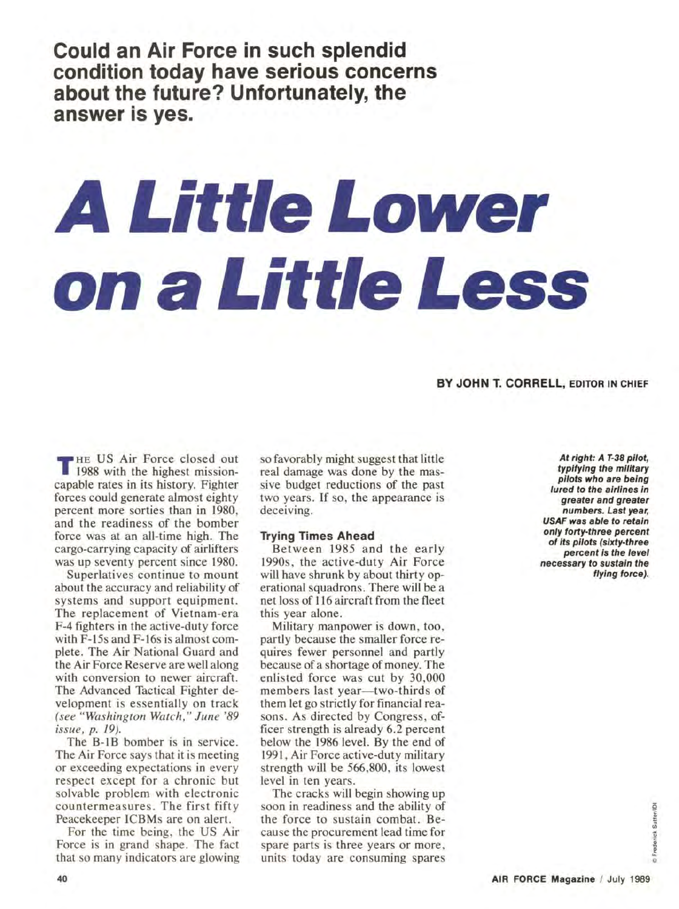**Could an Air Force in such splendid condition today have serious concerns about the future? Unfortunately, the answer is yes.** 

# **A Little Lower on a Little Less**

**BY JOHN T. CORRELL, EDITOR IN CHIEF** 

**T** HE US Air Force closed out **HE US** Air Force closed out capable rates in its history. Fighter forces could generate almost eighty percent more sorties than in 1980, and the readiness of the bomber force was at an all-time high. The cargo-carrying capacity of airlifters was up seventy percent since 1980.

Superlatives continue to mount about the accuracy and reliability of systems and support equipment. The replacement of Vietnam-era F-4 fighters in the active-duty force with F-15s and F-16s is almost complete. The Air National Guard and the Air Force Reserve are well along with conversion to newer aircraft. The Advanced Tactical Fighter development is essentially on track *(see "Washington Watch," June '89 issue, p.* 19).

The B-1B bomber is in service. The Air Force says that it is meeting or exceeding expectations in every respect except for a chronic but solvable problem with electronic countermeasures. The first fifty Peacekeeper ICBMs are on alert.

For the time being, the US Air Force is in grand shape. The fact that so many indicators are glowing so favorably might suggest that little real damage was done by the massive budget reductions of the past two years. If so, the appearance is deceiving.

### **Trying Times Ahead**

Between 1985 and the early 1990s, the active-duty Air Force will have shrunk by about thirty operational squadrons. There will be a net loss of 116 aircraft from the fleet this year alone.

Military manpower is down, too, partly because the smaller force requires fewer personnel and partly because of a shortage of money. The enlisted force was cut by 30,000 members last year—two-thirds of them let go strictly for financial reasons. As directed by Congress, officer strength is already 6.2 percent below the 1986 level. By the end of 1991, Air Force active-duty military strength will be 566,800, its lowest level in ten years.

The cracks will begin showing up soon in readiness and the ability of the force to sustain combat. Because the procurement lead time for spare parts is three years or more, units today are consuming spares

**At right: A T-38 pilot, typifying the military pilots who are being lured to the airlines in greater and greater numbers. Last year, USAF was able to retain only forty-three percent of its pilots (sixty-three percent is the level necessary to sustain the flying force).**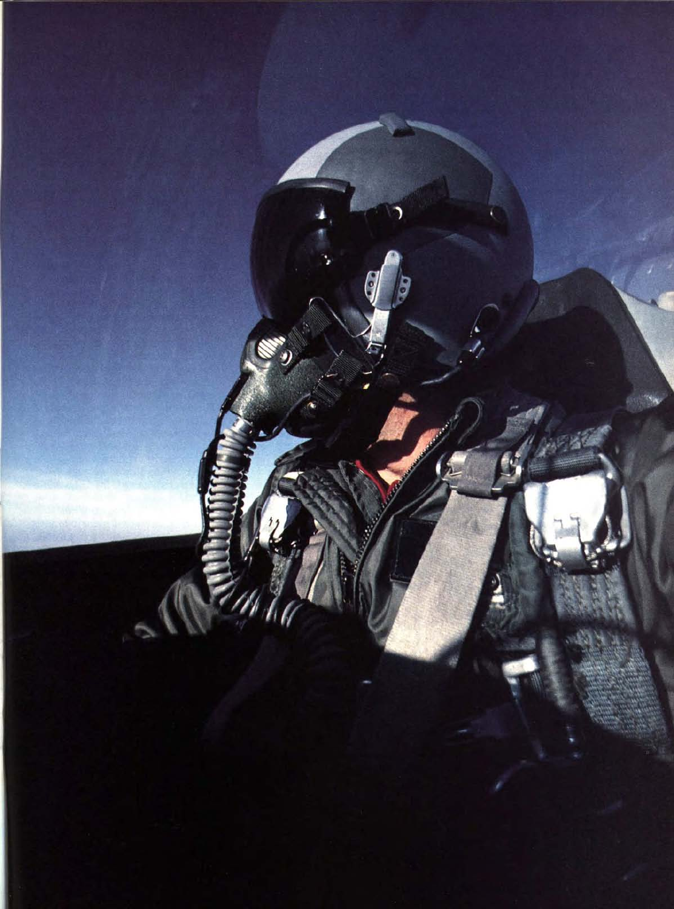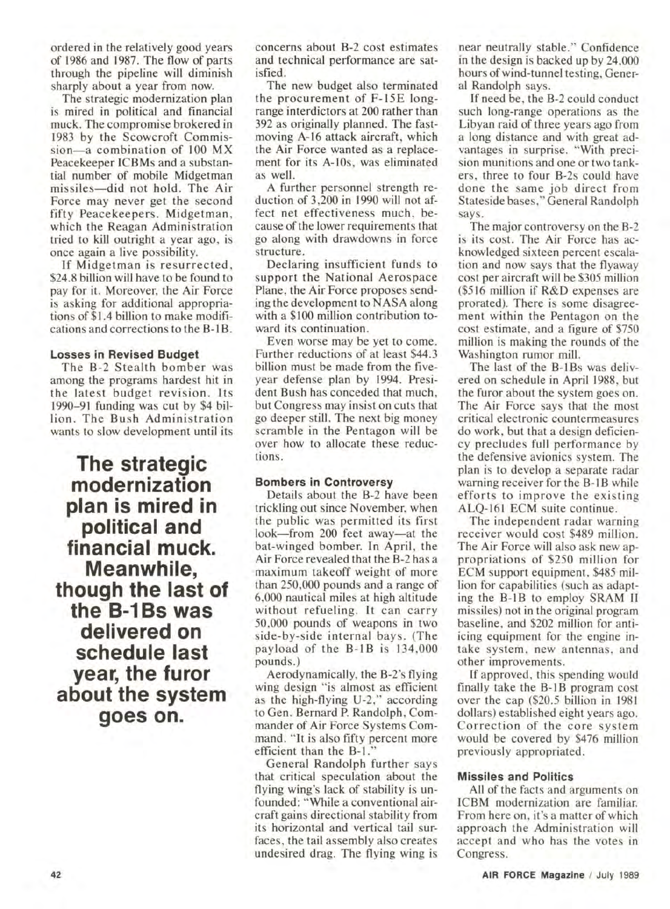ordered in the relatively good years of 1986 and 1987. The flow of parts through the pipeline will diminish sharply about a year from now.

The strategic modernization plan is mired in political and financial muck. The compromise brokered in 1983 by the Scowcroft Commission—a combination of 100 MX Peacekeeper ICBMs and a substantial number of mobile Midgetman missiles—did not hold. The Air Force may never get the second fifty Peacekeepers. Midgetman, which the Reagan Administration tried to kill outright a year ago, is once again a live possibility.

If Midgetman is resurrected, \$24.8 billion will have to be found to pay for it. Moreover, the Air Force is asking for additional appropriations of \$1.4 billion to make modifications and corrections to the B-1B.

### **Losses in Revised Budget**

The B-2 Stealth bomber was among the programs hardest hit in the latest budget revision. Its 1990-91 funding was cut by \$4 billion. The Bush Administration wants to slow development until its

**The strategic modernization plan is mired in political and financial muck. Meanwhile, though the last of the B-lBs was delivered on schedule last year, the furor about the system goes on.** 

concerns about B-2 cost estimates and technical performance are satisfied.

The new budget also terminated the procurement of F-15E longrange interdictors at 200 rather than 392 as originally planned. The fastmoving A-16 attack aircraft, which the Air Force wanted as a replacement for its A-10s, was eliminated as well.

A further personnel strength reduction of 3,200 in 1990 will not affect net effectiveness much, because of the lower requirements that go along with drawdowns in force structure.

Declaring insufficient funds to support the National Aerospace Plane, the Air Force proposes sending the development to NASA along with a \$100 million contribution toward its continuation.

Even worse may be yet to come. Further reductions of at least \$44.3 billion must be made from the fiveyear defense plan by 1994. President Bush has conceded that much, but Congress may insist on cuts that go deeper still. The next big money scramble in the Pentagon will be over how to allocate these reductions.

# **Bombers in Controversy**

Details about the B-2 have been trickling out since November, when the public was permitted its first look—from 200 feet away—at the bat-winged bomber. In April, the Air Force revealed that the B-2 has a maximum takeoff weight of more than 250,000 pounds and a range of 6,000 nautical miles at high altitude without refueling. It can carry 50,000 pounds of weapons in two side-by-side internal bays. (The payload of the B-1B is 134,000 pounds.)

Aerodynamically, the B-2's flying wing design "is almost as efficient as the high-flying U-2," according to Gen. Bernard P. Randolph, Commander of Air Force Systems Command. "It is also fifty percent more efficient than the B-1."

General Randolph further says that critical speculation about the flying wing's lack of stability is unfounded: "While a conventional aircraft gains directional stability from its horizontal and vertical tail surfaces, the tail assembly also creates undesired drag. The flying wing is near neutrally stable." Confidence in the design is backed up by 24,000 hours of wind-tunnel testing, General Randolph says.

If need be, the B-2 could conduct such long-range operations as the Libyan raid of three years ago from a long distance and with great advantages in surprise. "With precision munitions and one or two tankers, three to four B-2s could have done the same job direct from Stateside bases," General Randolph says.

The major controversy on the B-2 is its cost. The Air Force has acknowledged sixteen percent escalation and now says that the flyaway cost per aircraft will be \$305 million (\$516 million if R&D expenses are prorated). There is some disagreement within the Pentagon on the cost estimate, and a figure of \$750 million is making the rounds of the Washington rumor mill.

The last of the B-1Bs was delivered on schedule in April 1988, but the furor about the system goes on. The Air Force says that the most critical electronic countermeasures do work, but that a design deficiency precludes full performance by the defensive avionics system. The plan is to develop a separate radar warning receiver for the B-1B while efforts to improve the existing ALQ-161 ECM suite continue.

The independent radar warning receiver would cost \$489 million. The Air Force will also ask new appropriations of \$250 million for ECM support equipment, \$485 million for capabilities (such as adapting the B-1B to employ SRAM II missiles) not in the original program baseline, and \$202 million for antiicing equipment for the engine intake system, new antennas, and other improvements.

If approved, this spending would finally take the B-1B program cost over the cap (\$20.5 billion in 1981 dollars) established eight years ago. Correction of the core system would be covered by \$476 million previously appropriated.

### **Missiles and Politics**

All of the facts and arguments on ICBM modernization are familiar. From here on, it's a matter of which approach the Administration will accept and who has the votes in Congress.